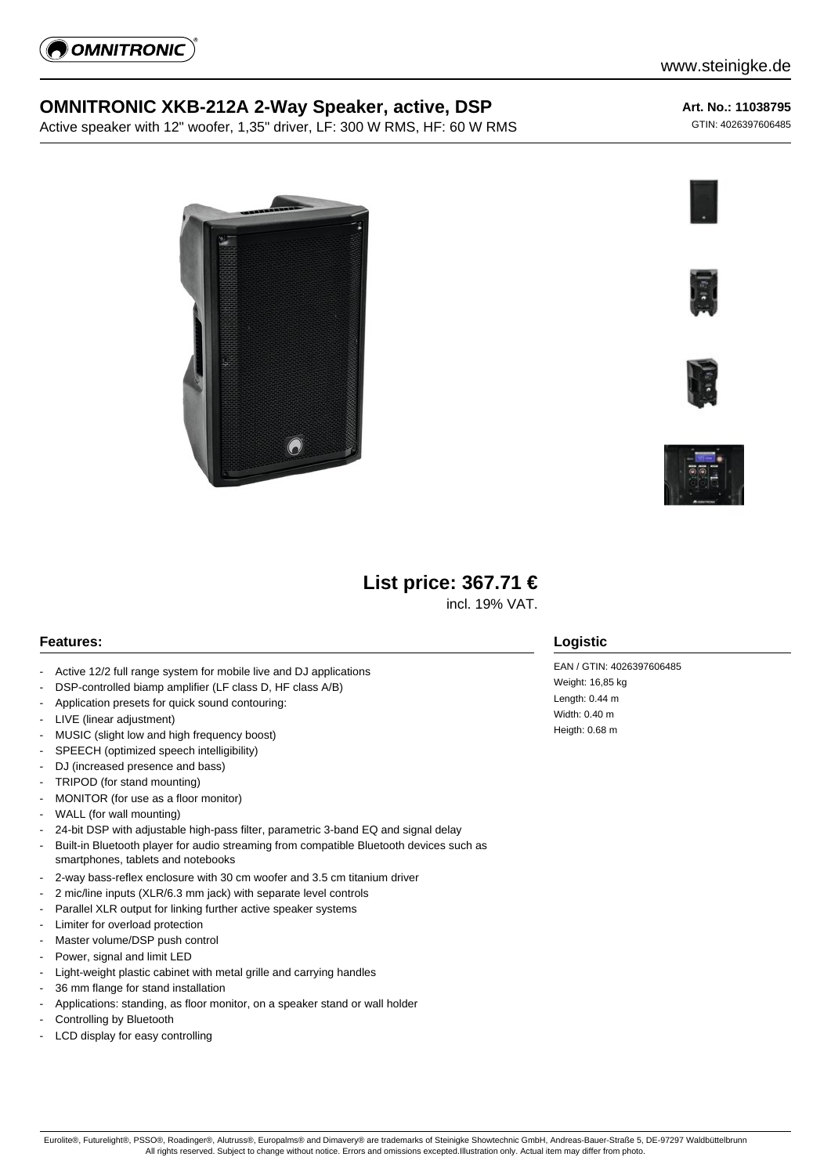

## **OMNITRONIC XKB-212A 2-Way Speaker, active, DSP**

Active speaker with 12" woofer, 1,35" driver, LF: 300 W RMS, HF: 60 W RMS

## www.steinigke.de

**Art. No.: 11038795**

GTIN: 4026397606485









# **List price: 367.71 €**

incl. 19% VAT.

#### **Features:**

- Active 12/2 full range system for mobile live and DJ applications
- DSP-controlled biamp amplifier (LF class D, HF class A/B)
- Application presets for quick sound contouring:
- LIVE (linear adjustment)
- MUSIC (slight low and high frequency boost)
- SPEECH (optimized speech intelligibility)
- DJ (increased presence and bass)
- TRIPOD (for stand mounting)
- MONITOR (for use as a floor monitor)
- WALL (for wall mounting)
- 24-bit DSP with adjustable high-pass filter, parametric 3-band EQ and signal delay
- Built-in Bluetooth player for audio streaming from compatible Bluetooth devices such as smartphones, tablets and notebooks
- 2-way bass-reflex enclosure with 30 cm woofer and 3.5 cm titanium driver
- 2 mic/line inputs (XLR/6.3 mm jack) with separate level controls
- Parallel XLR output for linking further active speaker systems
- Limiter for overload protection
- Master volume/DSP push control
- Power, signal and limit LED
- Light-weight plastic cabinet with metal grille and carrying handles
- 36 mm flange for stand installation
- Applications: standing, as floor monitor, on a speaker stand or wall holder
- Controlling by Bluetooth
- LCD display for easy controlling

#### **Logistic**

EAN / GTIN: 4026397606485 Weight: 16,85 kg Length: 0.44 m Width: 0.40 m Heigth: 0.68 m

Eurolite®, Futurelight®, PSSO®, Roadinger®, Alutruss®, Europalms® and Dimavery® are trademarks of Steinigke Showtechnic GmbH, Andreas-Bauer-Straße 5, DE-97297 Waldbüttelbrunn All rights reserved. Subject to change without notice. Errors and omissions excepted.Illustration only. Actual item may differ from photo.